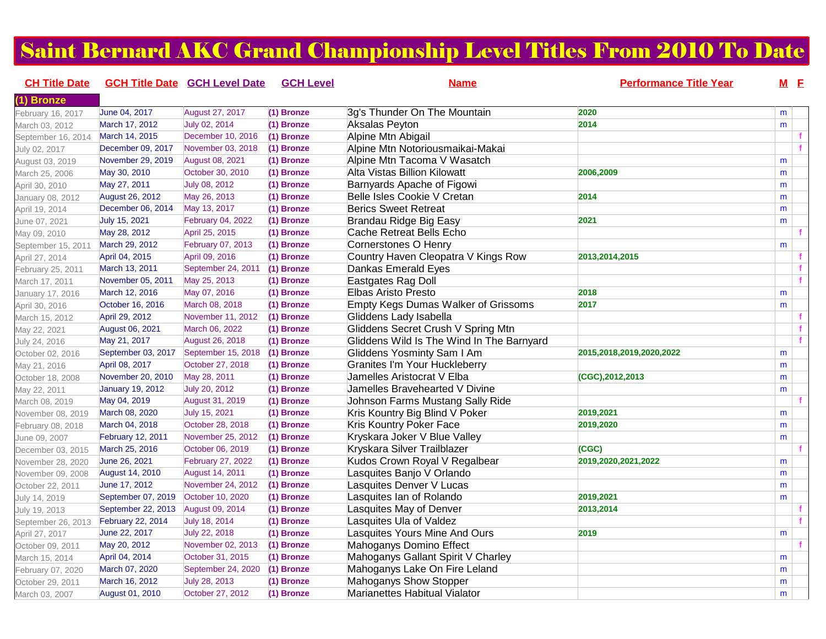## Saint Bernard AKC Grand Championship Level Titles From 2010 To Date

| <b>CH Title Date</b> |                          | <b>GCH Title Date GCH Level Date</b> | <b>GCH Level</b> | <b>Name</b>                                | <b>Performance Title Year</b> | $M$ $E$ |  |
|----------------------|--------------------------|--------------------------------------|------------------|--------------------------------------------|-------------------------------|---------|--|
| (1) Bronze           |                          |                                      |                  |                                            |                               |         |  |
| February 16, 2017    | June 04, 2017            | August 27, 2017                      | (1) Bronze       | 3g's Thunder On The Mountain               | 2020                          | m       |  |
| March 03, 2012       | March 17, 2012           | July 02, 2014                        | (1) Bronze       | Aksalas Peyton                             | 2014                          | m       |  |
| September 16, 2014   | March 14, 2015           | December 10, 2016                    | (1) Bronze       | Alpine Mtn Abigail                         |                               |         |  |
| July 02, 2017        | December 09, 2017        | November 03, 2018                    | (1) Bronze       | Alpine Mtn Notoriousmaikai-Makai           |                               |         |  |
| August 03, 2019      | November 29, 2019        | August 08, 2021                      | (1) Bronze       | Alpine Mtn Tacoma V Wasatch                |                               | m       |  |
| March 25, 2006       | May 30, 2010             | October 30, 2010                     | (1) Bronze       | Alta Vistas Billion Kilowatt               | 2006,2009                     | m       |  |
| April 30, 2010       | May 27, 2011             | July 08, 2012                        | (1) Bronze       | Barnyards Apache of Figowi                 |                               | m       |  |
| January 08, 2012     | August 26, 2012          | May 26, 2013                         | (1) Bronze       | Belle Isles Cookie V Cretan                | 2014                          | m       |  |
| April 19, 2014       | December 06, 2014        | May 13, 2017                         | (1) Bronze       | <b>Berics Sweet Retreat</b>                |                               | m       |  |
| June 07, 2021        | July 15, 2021            | February 04, 2022                    | (1) Bronze       | Brandau Ridge Big Easy                     | 2021                          | m       |  |
| May 09, 2010         | May 28, 2012             | April 25, 2015                       | (1) Bronze       | Cache Retreat Bells Echo                   |                               |         |  |
| September 15, 2011   | March 29, 2012           | February 07, 2013                    | (1) Bronze       | Cornerstones O Henry                       |                               | m       |  |
| April 27, 2014       | April 04, 2015           | April 09, 2016                       | (1) Bronze       | Country Haven Cleopatra V Kings Row        | 2013, 2014, 2015              |         |  |
| February 25, 2011    | March 13, 2011           | September 24, 2011                   | (1) Bronze       | Dankas Emerald Eyes                        |                               |         |  |
| March 17, 2011       | November 05, 2011        | May 25, 2013                         | $(1)$ Bronze     | Eastgates Rag Doll                         |                               |         |  |
| January 17, 2016     | March 12, 2016           | May 07, 2016                         | (1) Bronze       | Elbas Aristo Presto                        | 2018                          | m       |  |
| April 30, 2016       | October 16, 2016         | March 08, 2018                       | (1) Bronze       | <b>Empty Kegs Dumas Walker of Grissoms</b> | 2017                          | m       |  |
| March 15, 2012       | April 29, 2012           | November 11, 2012                    | (1) Bronze       | Gliddens Lady Isabella                     |                               |         |  |
| May 22, 2021         | August 06, 2021          | March 06, 2022                       | (1) Bronze       | Gliddens Secret Crush V Spring Mtn         |                               |         |  |
| July 24, 2016        | May 21, 2017             | <b>August 26, 2018</b>               | (1) Bronze       | Gliddens Wild Is The Wind In The Barnyard  |                               |         |  |
| October 02, 2016     | September 03, 2017       | September 15, 2018                   | (1) Bronze       | Gliddens Yosminty Sam I Am                 | 2015,2018,2019,2020,2022      | m       |  |
| May 21, 2016         | April 08, 2017           | October 27, 2018                     | (1) Bronze       | <b>Granites I'm Your Huckleberry</b>       |                               | m       |  |
| October 18, 2008     | November 20, 2010        | May 28, 2011                         | (1) Bronze       | Jamelles Aristocrat V Elba                 | (CGC),2012,2013               | m       |  |
| May 22, 2011         | January 19, 2012         | July 20, 2012                        | (1) Bronze       | Jamelles Bravehearted V Divine             |                               | m       |  |
| March 08, 2019       | May 04, 2019             | <b>August 31, 2019</b>               | (1) Bronze       | Johnson Farms Mustang Sally Ride           |                               |         |  |
| November 08, 2019    | March 08, 2020           | July 15, 2021                        | (1) Bronze       | Kris Kountry Big Blind V Poker             | 2019,2021                     | m       |  |
| February 08, 2018    | March 04, 2018           | October 28, 2018                     | (1) Bronze       | <b>Kris Kountry Poker Face</b>             | 2019,2020                     | m       |  |
| June 09, 2007        | <b>February 12, 2011</b> | November 25, 2012                    | (1) Bronze       | Kryskara Joker V Blue Valley               |                               | m       |  |
| December 03, 2015    | March 25, 2016           | October 06, 2019                     | (1) Bronze       | Kryskara Silver Trailblazer                | (CGC)                         |         |  |
| November 28, 2020    | June 26, 2021            | February 27, 2022                    | (1) Bronze       | Kudos Crown Royal V Regalbear              | 2019,2020,2021,2022           | m       |  |
| November 09, 2008    | August 14, 2010          | <b>August 14, 2011</b>               | (1) Bronze       | Lasquites Banjo V Orlando                  |                               | m       |  |
| October 22, 2011     | June 17, 2012            | November 24, 2012                    | (1) Bronze       | Lasquites Denver V Lucas                   |                               | m       |  |
| July 14, 2019        | September 07, 2019       | October 10, 2020                     | (1) Bronze       | Lasquites Ian of Rolando                   | 2019,2021                     | m       |  |
| July 19, 2013        | September 22, 2013       | August 09, 2014                      | (1) Bronze       | Lasquites May of Denver                    | 2013,2014                     |         |  |
| September 26, 2013   | February 22, 2014        | July 18, 2014                        | (1) Bronze       | Lasquites Ula of Valdez                    |                               |         |  |
| April 27, 2017       | June 22, 2017            | July 22, 2018                        | (1) Bronze       | <b>Lasquites Yours Mine And Ours</b>       | 2019                          | m       |  |
| October 09, 2011     | May 20, 2012             | November 02, 2013                    | (1) Bronze       | Mahoganys Domino Effect                    |                               |         |  |
| March 15, 2014       | April 04, 2014           | October 31, 2015                     | (1) Bronze       | Mahoganys Gallant Spirit V Charley         |                               | m       |  |
| February 07, 2020    | March 07, 2020           | September 24, 2020                   | (1) Bronze       | Mahoganys Lake On Fire Leland              |                               | m       |  |
| October 29, 2011     | March 16, 2012           | July 28, 2013                        | (1) Bronze       | Mahoganys Show Stopper                     |                               | m       |  |
| March 03, 2007       | August 01, 2010          | October 27, 2012                     | (1) Bronze       | Marianettes Habitual Vialator              |                               | m       |  |
|                      |                          |                                      |                  |                                            |                               |         |  |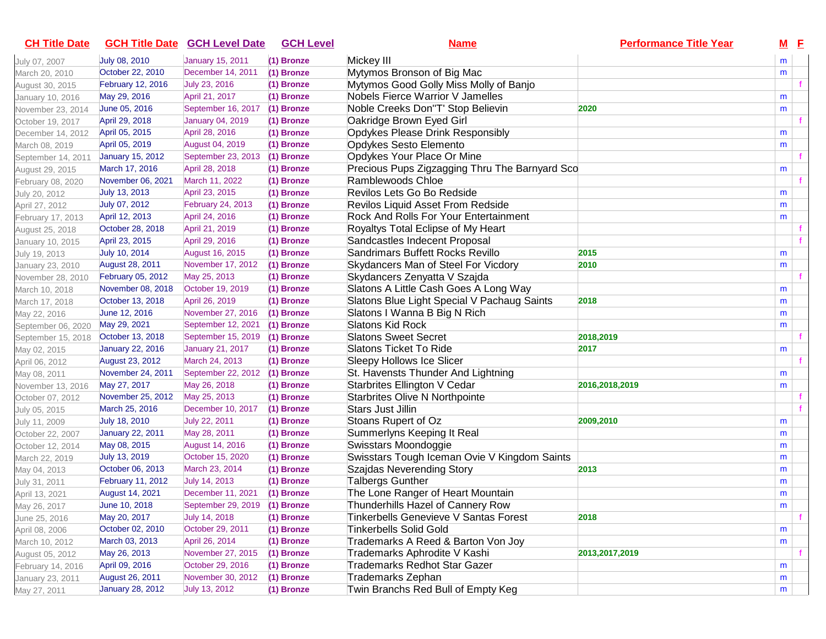| <b>CH Title Date</b> |                          | <b>GCH Title Date GCH Level Date</b> | <b>GCH Level</b> | <u>Name</u>                                    | <b>Performance Title Year</b> | M E |  |
|----------------------|--------------------------|--------------------------------------|------------------|------------------------------------------------|-------------------------------|-----|--|
| July 07, 2007        | July 08, 2010            | January 15, 2011                     | (1) Bronze       | Mickey III                                     |                               | m   |  |
| March 20, 2010       | October 22, 2010         | December 14, 2011                    | (1) Bronze       | Mytymos Bronson of Big Mac                     |                               | m   |  |
| August 30, 2015      | February 12, 2016        | July 23, 2016                        | (1) Bronze       | Mytymos Good Golly Miss Molly of Banjo         |                               |     |  |
| January 10, 2016     | May 29, 2016             | April 21, 2017                       | (1) Bronze       | Nobels Fierce Warrior V Jamelles               |                               | m   |  |
| November 23, 2014    | June 05, 2016            | September 16, 2017                   | (1) Bronze       | Noble Creeks Don"T' Stop Believin              | 2020                          | m   |  |
| October 19, 2017     | April 29, 2018           | January 04, 2019                     | (1) Bronze       | Oakridge Brown Eyed Girl                       |                               |     |  |
| December 14, 2012    | April 05, 2015           | April 28, 2016                       | (1) Bronze       | Opdykes Please Drink Responsibly               |                               | m   |  |
| March 08, 2019       | April 05, 2019           | August 04, 2019                      | (1) Bronze       | Opdykes Sesto Elemento                         |                               | m   |  |
| September 14, 2011   | <b>January 15, 2012</b>  | September 23, 2013                   | (1) Bronze       | Opdykes Your Place Or Mine                     |                               |     |  |
| August 29, 2015      | March 17, 2016           | April 28, 2018                       | (1) Bronze       | Precious Pups Zigzagging Thru The Barnyard Sco |                               | m   |  |
| February 08, 2020    | November 06, 2021        | March 11, 2022                       | (1) Bronze       | Ramblewoods Chloe                              |                               |     |  |
| July 20, 2012        | July 13, 2013            | April 23, 2015                       | (1) Bronze       | Revilos Lets Go Bo Redside                     |                               | m   |  |
| April 27, 2012       | July 07, 2012            | February 24, 2013                    | (1) Bronze       | Revilos Liquid Asset From Redside              |                               | m   |  |
| February 17, 2013    | April 12, 2013           | April 24, 2016                       | (1) Bronze       | Rock And Rolls For Your Entertainment          |                               | m   |  |
| August 25, 2018      | October 28, 2018         | April 21, 2019                       | (1) Bronze       | Royaltys Total Eclipse of My Heart             |                               |     |  |
| January 10, 2015     | April 23, 2015           | April 29, 2016                       | (1) Bronze       | Sandcastles Indecent Proposal                  |                               |     |  |
| July 19, 2013        | July 10, 2014            | August 16, 2015                      | (1) Bronze       | Sandrimars Buffett Rocks Revillo               | 2015                          | m   |  |
| January 23, 2010     | August 28, 2011          | November 17, 2012                    | (1) Bronze       | Skydancers Man of Steel For Vicdory            | 2010                          | m   |  |
| November 28, 2010    | February 05, 2012        | May 25, 2013                         | (1) Bronze       | Skydancers Zenyatta V Szajda                   |                               |     |  |
| March 10, 2018       | November 08, 2018        | October 19, 2019                     | (1) Bronze       | Slatons A Little Cash Goes A Long Way          |                               | m   |  |
| March 17, 2018       | October 13, 2018         | April 26, 2019                       | (1) Bronze       | Slatons Blue Light Special V Pachaug Saints    | 2018                          | m   |  |
| May 22, 2016         | June 12, 2016            | November 27, 2016                    | (1) Bronze       | Slatons I Wanna B Big N Rich                   |                               | m   |  |
| September 06, 2020   | May 29, 2021             | September 12, 2021                   | (1) Bronze       | Slatons Kid Rock                               |                               | m   |  |
| September 15, 2018   | October 13, 2018         | September 15, 2019                   | (1) Bronze       | <b>Slatons Sweet Secret</b>                    | 2018,2019                     |     |  |
| May 02, 2015         | <b>January 22, 2016</b>  | January 21, 2017                     | (1) Bronze       | Slatons Ticket To Ride                         | 2017                          | m   |  |
| April 06, 2012       | August 23, 2012          | March 24, 2013                       | (1) Bronze       | Sleepy Hollows Ice Slicer                      |                               |     |  |
| May 08, 2011         | November 24, 2011        | September 22, 2012                   | (1) Bronze       | St. Havensts Thunder And Lightning             |                               | m   |  |
| November 13, 2016    | May 27, 2017             | May 26, 2018                         | (1) Bronze       | Starbrites Ellington V Cedar                   | 2016,2018,2019                | m   |  |
| October 07, 2012     | November 25, 2012        | May 25, 2013                         | (1) Bronze       | Starbrites Olive N Northpointe                 |                               |     |  |
| July 05, 2015        | March 25, 2016           | December 10, 2017                    | (1) Bronze       | Stars Just Jillin                              |                               |     |  |
| July 11, 2009        | July 18, 2010            | July 22, 2011                        | (1) Bronze       | Stoans Rupert of Oz                            | 2009,2010                     | m   |  |
| October 22, 2007     | <b>January 22, 2011</b>  | May 28, 2011                         | (1) Bronze       | Summerlyns Keeping It Real                     |                               | m   |  |
| October 12, 2014     | May 08, 2015             | August 14, 2016                      | (1) Bronze       | Swisstars Moondoggie                           |                               | m   |  |
| March 22, 2019       | July 13, 2019            | October 15, 2020                     | (1) Bronze       | Swisstars Tough Iceman Ovie V Kingdom Saints   |                               | m   |  |
| May 04, 2013         | October 06, 2013         | March 23, 2014                       | (1) Bronze       | Szajdas Neverending Story                      | 2013                          | m   |  |
| July 31, 2011        | <b>February 11, 2012</b> | July 14, 2013                        | (1) Bronze       | <b>Talbergs Gunther</b>                        |                               | m   |  |
| April 13, 2021       | <b>August 14, 2021</b>   | December 11, 2021                    | (1) Bronze       | The Lone Ranger of Heart Mountain              |                               | m   |  |
| May 26, 2017         | June 10, 2018            | September 29, 2019                   | (1) Bronze       | Thunderhills Hazel of Cannery Row              |                               | m   |  |
| June 25, 2016        | May 20, 2017             | July 14, 2018                        | (1) Bronze       | <b>Tinkerbells Genevieve V Santas Forest</b>   | 2018                          |     |  |
| April 08, 2006       | October 02, 2010         | October 29, 2011                     | (1) Bronze       | <b>Tinkerbells Solid Gold</b>                  |                               | m   |  |
| March 10, 2012       | March 03, 2013           | April 26, 2014                       | (1) Bronze       | Trademarks A Reed & Barton Von Joy             |                               | m   |  |
| August 05, 2012      | May 26, 2013             | November 27, 2015                    | (1) Bronze       | Trademarks Aphrodite V Kashi                   | 2013, 2017, 2019              |     |  |
| February 14, 2016    | April 09, 2016           | October 29, 2016                     | (1) Bronze       | <b>Trademarks Redhot Star Gazer</b>            |                               | m   |  |
| January 23, 2011     | August 26, 2011          | November 30, 2012                    | (1) Bronze       | Trademarks Zephan                              |                               | m   |  |
| May 27, 2011         | <b>January 28, 2012</b>  | July 13, 2012                        | (1) Bronze       | Twin Branchs Red Bull of Empty Keg             |                               | m   |  |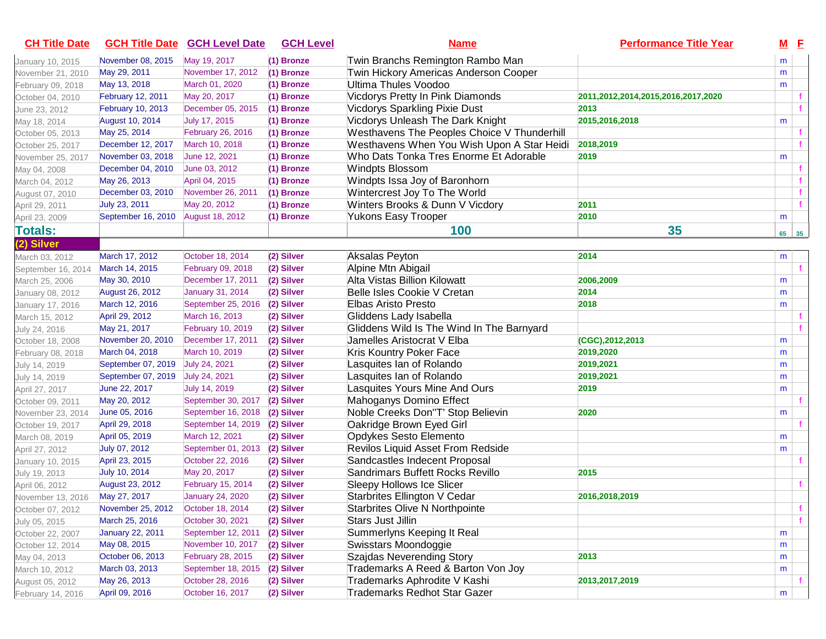| November 08, 2015<br>January 10, 2015<br>May 29, 2011<br>November 21, 2010<br>May 13, 2018<br>February 09, 2018<br>February 12, 2011<br>October 04, 2010<br>February 10, 2013<br>June 23, 2012<br><b>August 10, 2014</b><br>May 18, 2014<br>May 25, 2014<br>October 05, 2013<br>December 12, 2017<br>October 25, 2017 | May 19, 2017<br>November 17, 2012<br>March 01, 2020<br>May 20, 2017<br>December 05, 2015<br>July 17, 2015<br>February 26, 2016 | (1) Bronze<br>(1) Bronze<br>(1) Bronze<br>(1) Bronze<br>(1) Bronze | Twin Branchs Remington Rambo Man<br>Twin Hickory Americas Anderson Cooper<br>Ultima Thules Voodoo<br>Vicdorys Pretty In Pink Diamonds<br><b>Vicdorys Sparkling Pixie Dust</b> | 2011,2012,2014,2015,2016,2017,2020 | m<br>m<br>m  |   |
|-----------------------------------------------------------------------------------------------------------------------------------------------------------------------------------------------------------------------------------------------------------------------------------------------------------------------|--------------------------------------------------------------------------------------------------------------------------------|--------------------------------------------------------------------|-------------------------------------------------------------------------------------------------------------------------------------------------------------------------------|------------------------------------|--------------|---|
|                                                                                                                                                                                                                                                                                                                       |                                                                                                                                |                                                                    |                                                                                                                                                                               |                                    |              |   |
|                                                                                                                                                                                                                                                                                                                       |                                                                                                                                |                                                                    |                                                                                                                                                                               |                                    |              |   |
|                                                                                                                                                                                                                                                                                                                       |                                                                                                                                |                                                                    |                                                                                                                                                                               |                                    |              |   |
|                                                                                                                                                                                                                                                                                                                       |                                                                                                                                |                                                                    |                                                                                                                                                                               |                                    |              |   |
|                                                                                                                                                                                                                                                                                                                       |                                                                                                                                |                                                                    |                                                                                                                                                                               | 2013                               |              |   |
|                                                                                                                                                                                                                                                                                                                       |                                                                                                                                | (1) Bronze                                                         | Vicdorys Unleash The Dark Knight                                                                                                                                              | 2015,2016,2018                     | m            |   |
|                                                                                                                                                                                                                                                                                                                       |                                                                                                                                | (1) Bronze                                                         | Westhavens The Peoples Choice V Thunderhill                                                                                                                                   |                                    |              |   |
|                                                                                                                                                                                                                                                                                                                       | March 10, 2018                                                                                                                 | (1) Bronze                                                         | Westhavens When You Wish Upon A Star Heidi                                                                                                                                    | 2018,2019                          |              |   |
| November 03, 2018<br>November 25, 2017                                                                                                                                                                                                                                                                                | June 12, 2021                                                                                                                  | (1) Bronze                                                         | Who Dats Tonka Tres Enorme Et Adorable                                                                                                                                        | 2019                               | m            |   |
| December 04, 2010<br>May 04, 2008                                                                                                                                                                                                                                                                                     | June 03, 2012                                                                                                                  | (1) Bronze                                                         | <b>Windpts Blossom</b>                                                                                                                                                        |                                    |              |   |
| May 26, 2013<br>March 04, 2012                                                                                                                                                                                                                                                                                        | April 04, 2015                                                                                                                 | (1) Bronze                                                         | Windpts Issa Joy of Baronhorn                                                                                                                                                 |                                    |              |   |
| December 03, 2010<br>August 07, 2010                                                                                                                                                                                                                                                                                  | November 26, 2011                                                                                                              | (1) Bronze                                                         | Wintercrest Joy To The World                                                                                                                                                  |                                    |              |   |
| July 23, 2011<br>April 29, 2011                                                                                                                                                                                                                                                                                       | May 20, 2012                                                                                                                   | (1) Bronze                                                         | Winters Brooks & Dunn V Vicdory                                                                                                                                               | 2011                               |              |   |
| September 16, 2010<br>April 23, 2009                                                                                                                                                                                                                                                                                  | <b>August 18, 2012</b>                                                                                                         | (1) Bronze                                                         | Yukons Easy Trooper                                                                                                                                                           | 2010                               | m            |   |
| <b>Totals:</b>                                                                                                                                                                                                                                                                                                        |                                                                                                                                |                                                                    | 100                                                                                                                                                                           | 35                                 | $65 \mid 35$ |   |
| (2) Silver                                                                                                                                                                                                                                                                                                            |                                                                                                                                |                                                                    |                                                                                                                                                                               |                                    |              |   |
| March 17, 2012<br>March 03, 2012                                                                                                                                                                                                                                                                                      | October 18, 2014                                                                                                               | (2) Silver                                                         | Aksalas Peyton                                                                                                                                                                | 2014                               | m            |   |
| March 14, 2015<br>September 16, 2014                                                                                                                                                                                                                                                                                  | February 09, 2018                                                                                                              | (2) Silver                                                         | Alpine Mtn Abigail                                                                                                                                                            |                                    |              |   |
| May 30, 2010<br>March 25, 2006                                                                                                                                                                                                                                                                                        | December 17, 2011                                                                                                              | (2) Silver                                                         | Alta Vistas Billion Kilowatt                                                                                                                                                  | 2006,2009                          | m            |   |
| August 26, 2012<br>January 08, 2012                                                                                                                                                                                                                                                                                   | January 31, 2014                                                                                                               | (2) Silver                                                         | Belle Isles Cookie V Cretan                                                                                                                                                   | 2014                               | m            |   |
| March 12, 2016<br>January 17, 2016                                                                                                                                                                                                                                                                                    | September 25, 2016                                                                                                             | (2) Silver                                                         | Elbas Aristo Presto                                                                                                                                                           | 2018                               | m            |   |
| April 29, 2012<br>March 15, 2012                                                                                                                                                                                                                                                                                      | March 16, 2013                                                                                                                 | (2) Silver                                                         | Gliddens Lady Isabella                                                                                                                                                        |                                    |              |   |
| May 21, 2017<br>July 24, 2016                                                                                                                                                                                                                                                                                         | <b>February 10, 2019</b>                                                                                                       | (2) Silver                                                         | Gliddens Wild Is The Wind In The Barnyard                                                                                                                                     |                                    |              |   |
| November 20, 2010<br>October 18, 2008                                                                                                                                                                                                                                                                                 | December 17, 2011                                                                                                              | (2) Silver                                                         | Jamelles Aristocrat V Elba                                                                                                                                                    | (CGC), 2012, 2013                  | m            |   |
| March 04, 2018<br>February 08, 2018                                                                                                                                                                                                                                                                                   | March 10, 2019                                                                                                                 | (2) Silver                                                         | Kris Kountry Poker Face                                                                                                                                                       | 2019,2020                          | m            |   |
| September 07, 2019<br>July 14, 2019                                                                                                                                                                                                                                                                                   | July 24, 2021                                                                                                                  | (2) Silver                                                         | Lasquites Ian of Rolando                                                                                                                                                      | 2019,2021                          | m            |   |
| September 07, 2019<br>July 14, 2019                                                                                                                                                                                                                                                                                   | July 24, 2021                                                                                                                  | (2) Silver                                                         | Lasquites Ian of Rolando                                                                                                                                                      | 2019,2021                          | m            |   |
| June 22, 2017<br>April 27, 2017                                                                                                                                                                                                                                                                                       | July 14, 2019                                                                                                                  | (2) Silver                                                         | Lasquites Yours Mine And Ours                                                                                                                                                 | 2019                               | m            |   |
| May 20, 2012<br>October 09, 2011                                                                                                                                                                                                                                                                                      | September 30, 2017                                                                                                             | (2) Silver                                                         | Mahoganys Domino Effect                                                                                                                                                       |                                    |              |   |
| June 05, 2016<br>November 23, 2014                                                                                                                                                                                                                                                                                    | September 16, 2018                                                                                                             | (2) Silver                                                         | Noble Creeks Don"T' Stop Believin                                                                                                                                             | 2020                               | m            |   |
| April 29, 2018<br>October 19, 2017                                                                                                                                                                                                                                                                                    | September 14, 2019                                                                                                             | (2) Silver                                                         | Oakridge Brown Eyed Girl                                                                                                                                                      |                                    |              |   |
| April 05, 2019<br>March 08, 2019                                                                                                                                                                                                                                                                                      | March 12, 2021                                                                                                                 | (2) Silver                                                         | Opdykes Sesto Elemento                                                                                                                                                        |                                    | m            |   |
| July 07, 2012<br>April 27, 2012                                                                                                                                                                                                                                                                                       | September 01, 2013                                                                                                             | (2) Silver                                                         | Revilos Liquid Asset From Redside                                                                                                                                             |                                    | m            |   |
| April 23, 2015<br>January 10, 2015                                                                                                                                                                                                                                                                                    | October 22, 2016                                                                                                               | (2) Silver                                                         | Sandcastles Indecent Proposal                                                                                                                                                 |                                    |              |   |
| July 10, 2014<br>July 19, 2013                                                                                                                                                                                                                                                                                        | May 20, 2017                                                                                                                   | (2) Silver                                                         | Sandrimars Buffett Rocks Revillo                                                                                                                                              | 2015                               |              |   |
| August 23, 2012<br>April 06, 2012                                                                                                                                                                                                                                                                                     | <b>February 15, 2014</b>                                                                                                       | (2) Silver                                                         | Sleepy Hollows Ice Slicer                                                                                                                                                     |                                    |              |   |
| May 27, 2017<br>November 13, 2016                                                                                                                                                                                                                                                                                     | <b>January 24, 2020</b>                                                                                                        | (2) Silver                                                         | Starbrites Ellington V Cedar                                                                                                                                                  | 2016,2018,2019                     |              |   |
| November 25, 2012<br>October 07, 2012                                                                                                                                                                                                                                                                                 | October 18, 2014                                                                                                               | (2) Silver                                                         | Starbrites Olive N Northpointe                                                                                                                                                |                                    |              |   |
| March 25, 2016<br>July 05, 2015                                                                                                                                                                                                                                                                                       | October 30, 2021                                                                                                               | (2) Silver                                                         | Stars Just Jillin                                                                                                                                                             |                                    |              | f |
| <b>January 22, 2011</b><br>October 22, 2007                                                                                                                                                                                                                                                                           | September 12, 2011                                                                                                             | (2) Silver                                                         | Summerlyns Keeping It Real                                                                                                                                                    |                                    | m            |   |
| May 08, 2015<br>October 12, 2014                                                                                                                                                                                                                                                                                      | November 10, 2017                                                                                                              | (2) Silver                                                         | Swisstars Moondoggie                                                                                                                                                          |                                    | m            |   |
| October 06, 2013<br>May 04, 2013                                                                                                                                                                                                                                                                                      | February 28, 2015                                                                                                              | (2) Silver                                                         | Szajdas Neverending Story                                                                                                                                                     | 2013                               | m            |   |
| March 03, 2013<br>March 10, 2012                                                                                                                                                                                                                                                                                      | September 18, 2015                                                                                                             | (2) Silver                                                         | Trademarks A Reed & Barton Von Joy                                                                                                                                            |                                    | m            |   |
| May 26, 2013<br>August 05, 2012                                                                                                                                                                                                                                                                                       | October 28, 2016                                                                                                               | (2) Silver                                                         | Trademarks Aphrodite V Kashi                                                                                                                                                  | 2013, 2017, 2019                   |              |   |
| April 09, 2016<br>February 14, 2016                                                                                                                                                                                                                                                                                   | October 16, 2017                                                                                                               | (2) Silver                                                         | <b>Trademarks Redhot Star Gazer</b>                                                                                                                                           |                                    | m            |   |